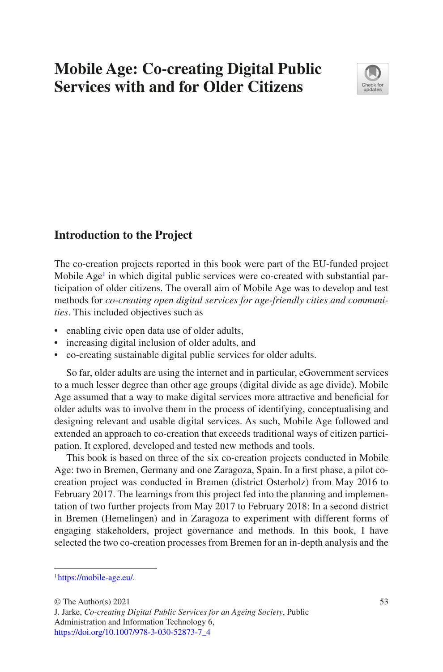# **Mobile Age: Co-creating Digital Public Services with and for Older Citizens**



## **Introduction to the Project**

The co-creation projects reported in this book were part of the EU-funded project Mobile Age<sup>[1](#page-0-0)</sup> in which digital public services were co-created with substantial participation of older citizens. The overall aim of Mobile Age was to develop and test methods for *co-creating open digital services for age-friendly cities and communities*. This included objectives such as

- enabling civic open data use of older adults,
- increasing digital inclusion of older adults, and
- co-creating sustainable digital public services for older adults.

So far, older adults are using the internet and in particular, eGovernment services to a much lesser degree than other age groups (digital divide as age divide). Mobile Age assumed that a way to make digital services more attractive and beneficial for older adults was to involve them in the process of identifying, conceptualising and designing relevant and usable digital services. As such, Mobile Age followed and extended an approach to co-creation that exceeds traditional ways of citizen participation. It explored, developed and tested new methods and tools.

This book is based on three of the six co-creation projects conducted in Mobile Age: two in Bremen, Germany and one Zaragoza, Spain. In a first phase, a pilot cocreation project was conducted in Bremen (district Osterholz) from May 2016 to February 2017. The learnings from this project fed into the planning and implementation of two further projects from May 2017 to February 2018: In a second district in Bremen (Hemelingen) and in Zaragoza to experiment with different forms of engaging stakeholders, project governance and methods. In this book, I have selected the two co-creation processes from Bremen for an in-depth analysis and the

<span id="page-0-0"></span><sup>1</sup> [https://mobile-age.eu/.](https://mobile-age.eu/)

 $\odot$  The Author(s) 2021 53

J. Jarke, *Co-creating Digital Public Services for an Ageing Society*, Public Administration and Information Technology 6, [https://doi.org/10.1007/978-3-030-52873-7\\_4](https://doi.org/10.1007/978-3-030-52873-7_4#DOI)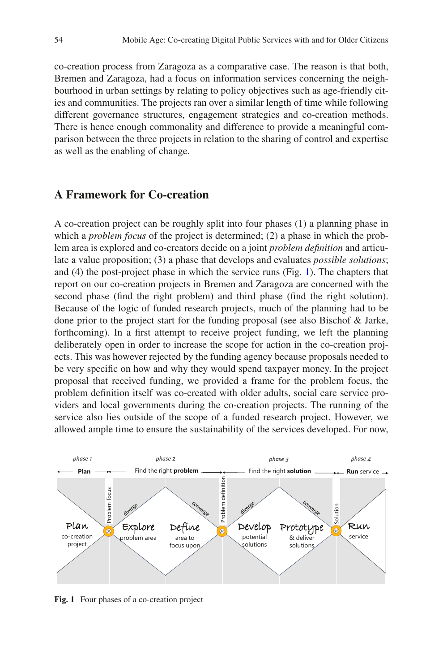co-creation process from Zaragoza as a comparative case. The reason is that both, Bremen and Zaragoza, had a focus on information services concerning the neighbourhood in urban settings by relating to policy objectives such as age-friendly cities and communities. The projects ran over a similar length of time while following different governance structures, engagement strategies and co-creation methods. There is hence enough commonality and difference to provide a meaningful comparison between the three projects in relation to the sharing of control and expertise as well as the enabling of change.

## **A Framework for Co-creation**

A co-creation project can be roughly split into four phases (1) a planning phase in which a *problem focus* of the project is determined; (2) a phase in which the problem area is explored and co-creators decide on a joint *problem definition* and articulate a value proposition; (3) a phase that develops and evaluates *possible solutions*; and (4) the post-project phase in which the service runs (Fig. [1\)](#page-1-0). The chapters that report on our co-creation projects in Bremen and Zaragoza are concerned with the second phase (find the right problem) and third phase (find the right solution). Because of the logic of funded research projects, much of the planning had to be done prior to the project start for the funding proposal (see also Bischof & Jarke, forthcoming). In a first attempt to receive project funding, we left the planning deliberately open in order to increase the scope for action in the co-creation projects. This was however rejected by the funding agency because proposals needed to be very specific on how and why they would spend taxpayer money. In the project proposal that received funding, we provided a frame for the problem focus, the problem definition itself was co-created with older adults, social care service providers and local governments during the co-creation projects. The running of the service also lies outside of the scope of a funded research project. However, we allowed ample time to ensure the sustainability of the services developed. For now,

<span id="page-1-0"></span>

**Fig. 1** Four phases of a co-creation project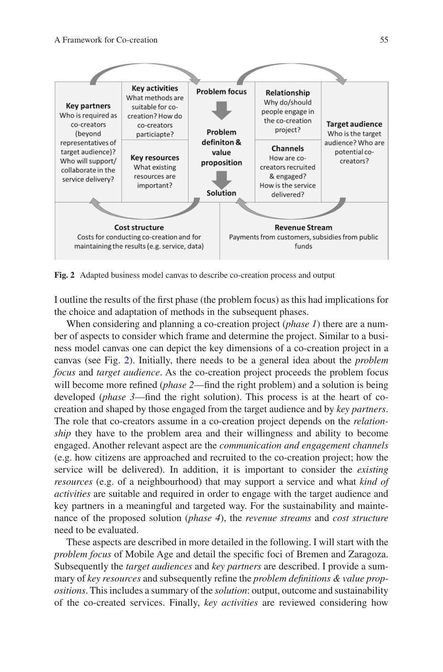<span id="page-2-0"></span>

**Fig. 2** Adapted business model canvas to describe co-creation process and output

I outline the results of the first phase (the problem focus) as this had implications for the choice and adaptation of methods in the subsequent phases.

When considering and planning a co-creation project (*phase 1*) there are a number of aspects to consider which frame and determine the project. Similar to a business model canvas one can depict the key dimensions of a co-creation project in a canvas (see Fig. [2](#page-2-0)). Initially, there needs to be a general idea about the *problem focus* and *target audience*. As the co-creation project proceeds the problem focus will become more refined *(phase 2—find the right problem)* and a solution is being developed (*phase 3*—find the right solution). This process is at the heart of cocreation and shaped by those engaged from the target audience and by *key partners*. The role that co-creators assume in a co-creation project depends on the *relationship* they have to the problem area and their willingness and ability to become engaged. Another relevant aspect are the *communication and engagement channels* (e.g. how citizens are approached and recruited to the co-creation project; how the service will be delivered). In addition, it is important to consider the *existing resources* (e.g. of a neighbourhood) that may support a service and what *kind of activities* are suitable and required in order to engage with the target audience and key partners in a meaningful and targeted way. For the sustainability and maintenance of the proposed solution (*phase 4*), the *revenue streams* and *cost structure* need to be evaluated.

These aspects are described in more detailed in the following. I will start with the *problem focus* of Mobile Age and detail the specific foci of Bremen and Zaragoza. Subsequently the *target audiences* and *key partners* are described. I provide a summary of *key resources* and subsequently refine the *problem definitions & value propositions*. This includes a summary of the *solution*: output, outcome and sustainability of the co-created services. Finally, *key activities* are reviewed considering how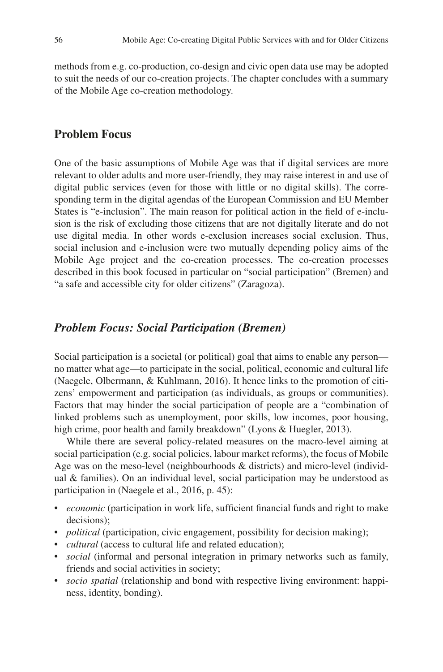methods from e.g. co-production, co-design and civic open data use may be adopted to suit the needs of our co-creation projects. The chapter concludes with a summary of the Mobile Age co-creation methodology.

## **Problem Focus**

One of the basic assumptions of Mobile Age was that if digital services are more relevant to older adults and more user-friendly, they may raise interest in and use of digital public services (even for those with little or no digital skills). The corresponding term in the digital agendas of the European Commission and EU Member States is "e-inclusion". The main reason for political action in the field of e-inclusion is the risk of excluding those citizens that are not digitally literate and do not use digital media. In other words e-exclusion increases social exclusion. Thus, social inclusion and e-inclusion were two mutually depending policy aims of the Mobile Age project and the co-creation processes. The co-creation processes described in this book focused in particular on "social participation" (Bremen) and "a safe and accessible city for older citizens" (Zaragoza).

## *Problem Focus: Social Participation (Bremen)*

Social participation is a societal (or political) goal that aims to enable any person no matter what age—to participate in the social, political, economic and cultural life (Naegele, Olbermann, & Kuhlmann, 2016). It hence links to the promotion of citizens' empowerment and participation (as individuals, as groups or communities). Factors that may hinder the social participation of people are a "combination of linked problems such as unemployment, poor skills, low incomes, poor housing, high crime, poor health and family breakdown" (Lyons & Huegler, 2013).

While there are several policy-related measures on the macro-level aiming at social participation (e.g. social policies, labour market reforms), the focus of Mobile Age was on the meso-level (neighbourhoods & districts) and micro-level (individual & families). On an individual level, social participation may be understood as participation in (Naegele et al., 2016, p. 45):

- *economic* (participation in work life, sufficient financial funds and right to make decisions);
- *political* (participation, civic engagement, possibility for decision making);
- *cultural* (access to cultural life and related education);
- *social* (informal and personal integration in primary networks such as family, friends and social activities in society;
- *socio spatial* (relationship and bond with respective living environment: happiness, identity, bonding).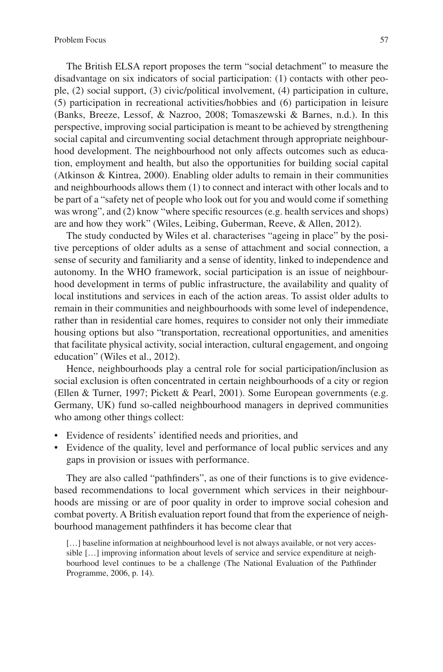The British ELSA report proposes the term "social detachment" to measure the disadvantage on six indicators of social participation: (1) contacts with other people, (2) social support, (3) civic/political involvement, (4) participation in culture, (5) participation in recreational activities/hobbies and (6) participation in leisure (Banks, Breeze, Lessof, & Nazroo, 2008; Tomaszewski & Barnes, n.d.). In this perspective, improving social participation is meant to be achieved by strengthening social capital and circumventing social detachment through appropriate neighbourhood development. The neighbourhood not only affects outcomes such as education, employment and health, but also the opportunities for building social capital (Atkinson & Kintrea, 2000). Enabling older adults to remain in their communities and neighbourhoods allows them (1) to connect and interact with other locals and to be part of a "safety net of people who look out for you and would come if something was wrong", and (2) know "where specific resources (e.g. health services and shops) are and how they work" (Wiles, Leibing, Guberman, Reeve, & Allen, 2012).

The study conducted by Wiles et al. characterises "ageing in place" by the positive perceptions of older adults as a sense of attachment and social connection, a sense of security and familiarity and a sense of identity, linked to independence and autonomy. In the WHO framework, social participation is an issue of neighbourhood development in terms of public infrastructure, the availability and quality of local institutions and services in each of the action areas. To assist older adults to remain in their communities and neighbourhoods with some level of independence, rather than in residential care homes, requires to consider not only their immediate housing options but also "transportation, recreational opportunities, and amenities that facilitate physical activity, social interaction, cultural engagement, and ongoing education" (Wiles et al., 2012).

Hence, neighbourhoods play a central role for social participation/inclusion as social exclusion is often concentrated in certain neighbourhoods of a city or region (Ellen & Turner, 1997; Pickett & Pearl, 2001). Some European governments (e.g. Germany, UK) fund so-called neighbourhood managers in deprived communities who among other things collect:

- Evidence of residents' identified needs and priorities, and
- Evidence of the quality, level and performance of local public services and any gaps in provision or issues with performance.

They are also called "pathfinders", as one of their functions is to give evidencebased recommendations to local government which services in their neighbourhoods are missing or are of poor quality in order to improve social cohesion and combat poverty. A British evaluation report found that from the experience of neighbourhood management pathfinders it has become clear that

[...] baseline information at neighbourhood level is not always available, or not very accessible […] improving information about levels of service and service expenditure at neighbourhood level continues to be a challenge (The National Evaluation of the Pathfinder Programme, 2006, p. 14).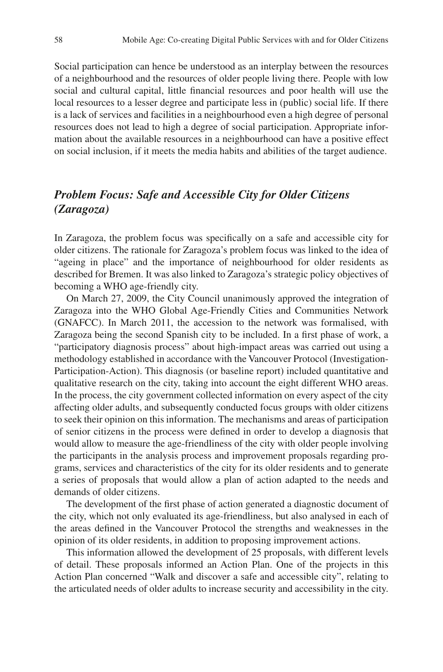Social participation can hence be understood as an interplay between the resources of a neighbourhood and the resources of older people living there. People with low social and cultural capital, little financial resources and poor health will use the local resources to a lesser degree and participate less in (public) social life. If there is a lack of services and facilities in a neighbourhood even a high degree of personal resources does not lead to high a degree of social participation. Appropriate information about the available resources in a neighbourhood can have a positive effect on social inclusion, if it meets the media habits and abilities of the target audience.

## *Problem Focus: Safe and Accessible City for Older Citizens (Zaragoza)*

In Zaragoza, the problem focus was specifically on a safe and accessible city for older citizens. The rationale for Zaragoza's problem focus was linked to the idea of "ageing in place" and the importance of neighbourhood for older residents as described for Bremen. It was also linked to Zaragoza's strategic policy objectives of becoming a WHO age-friendly city.

On March 27, 2009, the City Council unanimously approved the integration of Zaragoza into the WHO Global Age-Friendly Cities and Communities Network (GNAFCC). In March 2011, the accession to the network was formalised, with Zaragoza being the second Spanish city to be included. In a first phase of work, a "participatory diagnosis process" about high-impact areas was carried out using a methodology established in accordance with the Vancouver Protocol (Investigation-Participation-Action). This diagnosis (or baseline report) included quantitative and qualitative research on the city, taking into account the eight different WHO areas. In the process, the city government collected information on every aspect of the city affecting older adults, and subsequently conducted focus groups with older citizens to seek their opinion on this information. The mechanisms and areas of participation of senior citizens in the process were defined in order to develop a diagnosis that would allow to measure the age-friendliness of the city with older people involving the participants in the analysis process and improvement proposals regarding programs, services and characteristics of the city for its older residents and to generate a series of proposals that would allow a plan of action adapted to the needs and demands of older citizens.

The development of the first phase of action generated a diagnostic document of the city, which not only evaluated its age-friendliness, but also analysed in each of the areas defined in the Vancouver Protocol the strengths and weaknesses in the opinion of its older residents, in addition to proposing improvement actions.

This information allowed the development of 25 proposals, with different levels of detail. These proposals informed an Action Plan. One of the projects in this Action Plan concerned "Walk and discover a safe and accessible city", relating to the articulated needs of older adults to increase security and accessibility in the city.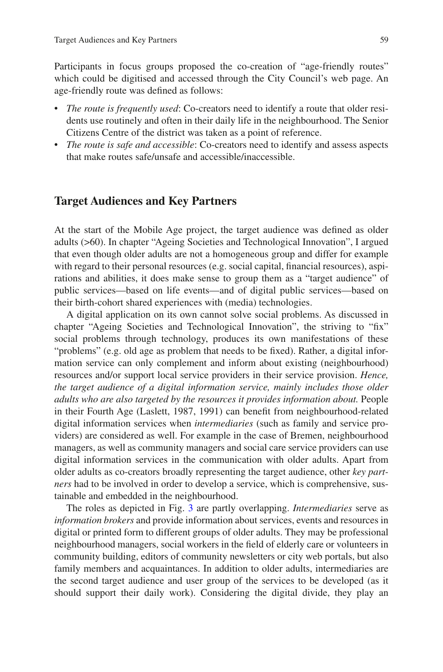Participants in focus groups proposed the co-creation of "age-friendly routes" which could be digitised and accessed through the City Council's web page. An age-friendly route was defined as follows:

- *The route is frequently used*: Co-creators need to identify a route that older residents use routinely and often in their daily life in the neighbourhood. The Senior Citizens Centre of the district was taken as a point of reference.
- *The route is safe and accessible*: Co-creators need to identify and assess aspects that make routes safe/unsafe and accessible/inaccessible.

### **Target Audiences and Key Partners**

At the start of the Mobile Age project, the target audience was defined as older adults (>60). In chapter "Ageing Societies and Technological Innovation", I argued that even though older adults are not a homogeneous group and differ for example with regard to their personal resources (e.g. social capital, financial resources), aspirations and abilities, it does make sense to group them as a "target audience" of public services—based on life events—and of digital public services—based on their birth-cohort shared experiences with (media) technologies.

A digital application on its own cannot solve social problems. As discussed in chapter "Ageing Societies and Technological Innovation", the striving to "fix" social problems through technology, produces its own manifestations of these "problems" (e.g. old age as problem that needs to be fixed). Rather, a digital information service can only complement and inform about existing (neighbourhood) resources and/or support local service providers in their service provision. *Hence, the target audience of a digital information service, mainly includes those older adults who are also targeted by the resources it provides information about.* People in their Fourth Age (Laslett, 1987, 1991) can benefit from neighbourhood-related digital information services when *intermediaries* (such as family and service providers) are considered as well. For example in the case of Bremen, neighbourhood managers, as well as community managers and social care service providers can use digital information services in the communication with older adults. Apart from older adults as co-creators broadly representing the target audience, other *key partners* had to be involved in order to develop a service, which is comprehensive, sustainable and embedded in the neighbourhood.

The roles as depicted in Fig. [3](#page-7-0) are partly overlapping. *Intermediaries* serve as *information brokers* and provide information about services, events and resources in digital or printed form to different groups of older adults. They may be professional neighbourhood managers, social workers in the field of elderly care or volunteers in community building, editors of community newsletters or city web portals, but also family members and acquaintances. In addition to older adults, intermediaries are the second target audience and user group of the services to be developed (as it should support their daily work). Considering the digital divide, they play an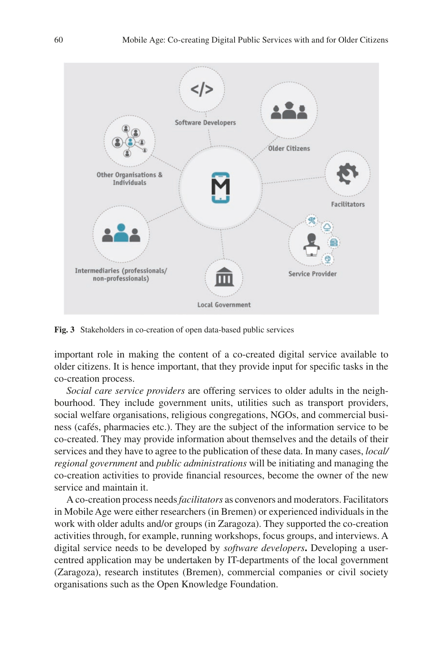<span id="page-7-0"></span>

**Fig. 3** Stakeholders in co-creation of open data-based public services

important role in making the content of a co-created digital service available to older citizens. It is hence important, that they provide input for specific tasks in the co-creation process.

*Social care service providers* are offering services to older adults in the neighbourhood. They include government units, utilities such as transport providers, social welfare organisations, religious congregations, NGOs, and commercial business (cafés, pharmacies etc.). They are the subject of the information service to be co-created. They may provide information about themselves and the details of their services and they have to agree to the publication of these data. In many cases, *local/ regional government* and *public administrations* will be initiating and managing the co-creation activities to provide financial resources, become the owner of the new service and maintain it.

A co-creation process needs *facilitators* as convenors and moderators. Facilitators in Mobile Age were either researchers (in Bremen) or experienced individuals in the work with older adults and/or groups (in Zaragoza). They supported the co-creation activities through, for example, running workshops, focus groups, and interviews. A digital service needs to be developed by *software developers***.** Developing a usercentred application may be undertaken by IT-departments of the local government (Zaragoza), research institutes (Bremen), commercial companies or civil society organisations such as the Open Knowledge Foundation.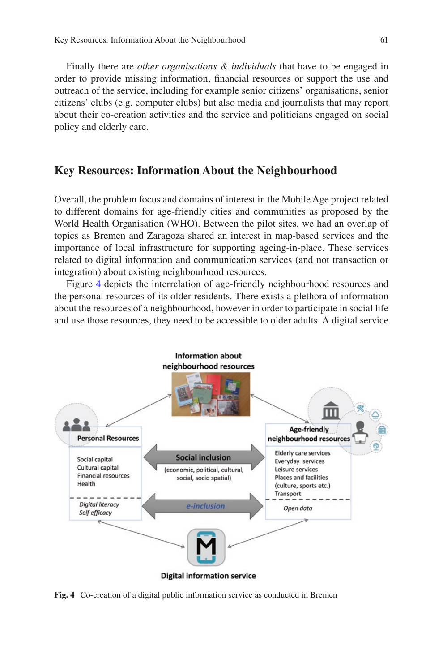Finally there are *other organisations & individuals* that have to be engaged in order to provide missing information, financial resources or support the use and outreach of the service, including for example senior citizens' organisations, senior citizens' clubs (e.g. computer clubs) but also media and journalists that may report about their co-creation activities and the service and politicians engaged on social policy and elderly care.

### **Key Resources: Information About the Neighbourhood**

Overall, the problem focus and domains of interest in the Mobile Age project related to different domains for age-friendly cities and communities as proposed by the World Health Organisation (WHO). Between the pilot sites, we had an overlap of topics as Bremen and Zaragoza shared an interest in map-based services and the importance of local infrastructure for supporting ageing-in-place. These services related to digital information and communication services (and not transaction or integration) about existing neighbourhood resources.

Figure [4](#page-8-0) depicts the interrelation of age-friendly neighbourhood resources and the personal resources of its older residents. There exists a plethora of information about the resources of a neighbourhood, however in order to participate in social life and use those resources, they need to be accessible to older adults. A digital service

<span id="page-8-0"></span>

**Fig. 4** Co-creation of a digital public information service as conducted in Bremen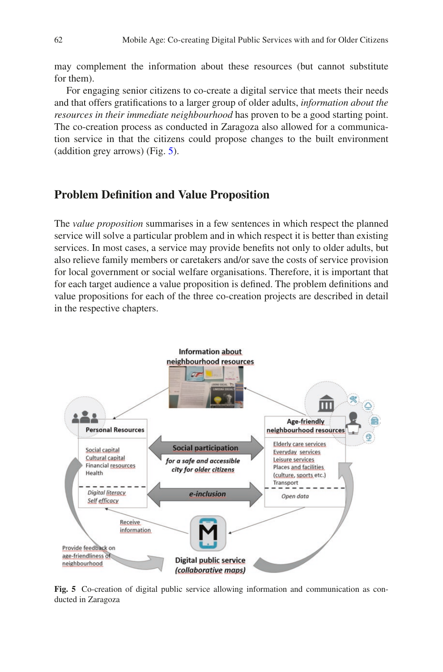may complement the information about these resources (but cannot substitute for them).

For engaging senior citizens to co-create a digital service that meets their needs and that offers gratifications to a larger group of older adults, *information about the resources in their immediate neighbourhood* has proven to be a good starting point. The co-creation process as conducted in Zaragoza also allowed for a communication service in that the citizens could propose changes to the built environment (addition grey arrows) (Fig. [5](#page-9-0)).

## **Problem Definition and Value Proposition**

The *value proposition* summarises in a few sentences in which respect the planned service will solve a particular problem and in which respect it is better than existing services. In most cases, a service may provide benefits not only to older adults, but also relieve family members or caretakers and/or save the costs of service provision for local government or social welfare organisations. Therefore, it is important that for each target audience a value proposition is defined. The problem definitions and value propositions for each of the three co-creation projects are described in detail in the respective chapters.

<span id="page-9-0"></span>

**Fig. 5** Co-creation of digital public service allowing information and communication as conducted in Zaragoza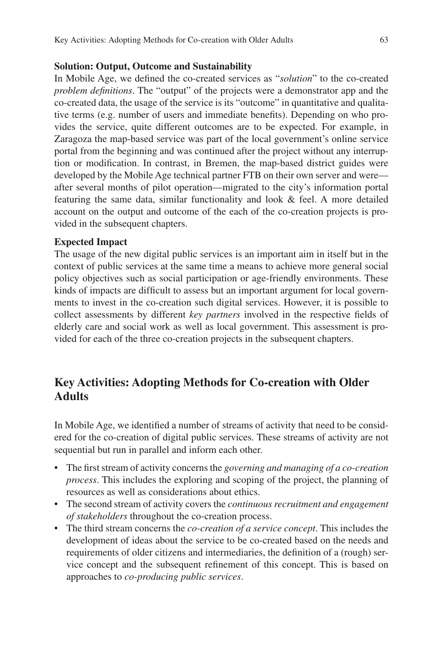#### **Solution: Output, Outcome and Sustainability**

In Mobile Age, we defined the co-created services as "*solution*" to the co-created *problem definitions*. The "output" of the projects were a demonstrator app and the co-created data, the usage of the service is its "outcome" in quantitative and qualitative terms (e.g. number of users and immediate benefits). Depending on who provides the service, quite different outcomes are to be expected. For example, in Zaragoza the map-based service was part of the local government's online service portal from the beginning and was continued after the project without any interruption or modification. In contrast, in Bremen, the map-based district guides were developed by the Mobile Age technical partner FTB on their own server and were after several months of pilot operation—migrated to the city's information portal featuring the same data, similar functionality and look & feel. A more detailed account on the output and outcome of the each of the co-creation projects is provided in the subsequent chapters.

#### **Expected Impact**

The usage of the new digital public services is an important aim in itself but in the context of public services at the same time a means to achieve more general social policy objectives such as social participation or age-friendly environments. These kinds of impacts are difficult to assess but an important argument for local governments to invest in the co-creation such digital services. However, it is possible to collect assessments by different *key partners* involved in the respective fields of elderly care and social work as well as local government. This assessment is provided for each of the three co-creation projects in the subsequent chapters.

## **Key Activities: Adopting Methods for Co-creation with Older Adults**

In Mobile Age, we identified a number of streams of activity that need to be considered for the co-creation of digital public services. These streams of activity are not sequential but run in parallel and inform each other.

- The first stream of activity concerns the *governing and managing of a co-creation process*. This includes the exploring and scoping of the project, the planning of resources as well as considerations about ethics.
- The second stream of activity covers the *continuous recruitment and engagement of stakeholders* throughout the co-creation process.
- The third stream concerns the *co-creation of a service concept*. This includes the development of ideas about the service to be co-created based on the needs and requirements of older citizens and intermediaries, the definition of a (rough) service concept and the subsequent refinement of this concept. This is based on approaches to *co-producing public services*.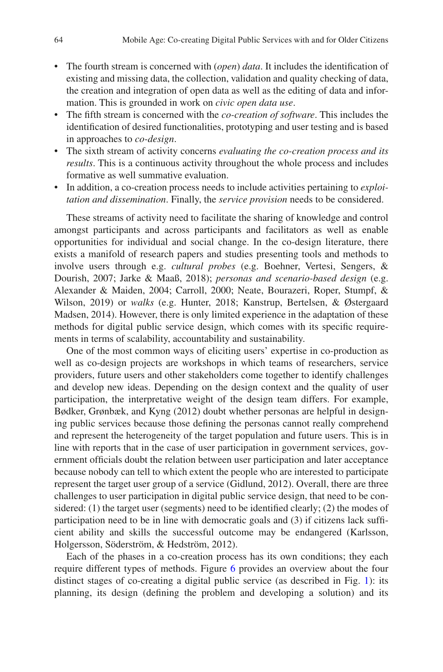- The fourth stream is concerned with (*open*) *data*. It includes the identification of existing and missing data, the collection, validation and quality checking of data, the creation and integration of open data as well as the editing of data and information. This is grounded in work on *civic open data use*.
- The fifth stream is concerned with the *co-creation of software*. This includes the identification of desired functionalities, prototyping and user testing and is based in approaches to *co-design*.
- The sixth stream of activity concerns *evaluating the co-creation process and its results*. This is a continuous activity throughout the whole process and includes formative as well summative evaluation.
- In addition, a co-creation process needs to include activities pertaining to *exploitation and dissemination*. Finally, the *service provision* needs to be considered.

These streams of activity need to facilitate the sharing of knowledge and control amongst participants and across participants and facilitators as well as enable opportunities for individual and social change. In the co-design literature, there exists a manifold of research papers and studies presenting tools and methods to involve users through e.g. *cultural probes* (e.g. Boehner, Vertesi, Sengers, & Dourish, 2007; Jarke & Maaß, 2018); *personas and scenario-based design* (e.g. Alexander & Maiden, 2004; Carroll, 2000; Neate, Bourazeri, Roper, Stumpf, & Wilson, 2019) or *walks* (e.g. Hunter, 2018; Kanstrup, Bertelsen, & Østergaard Madsen, 2014). However, there is only limited experience in the adaptation of these methods for digital public service design, which comes with its specific requirements in terms of scalability, accountability and sustainability.

One of the most common ways of eliciting users' expertise in co-production as well as co-design projects are workshops in which teams of researchers, service providers, future users and other stakeholders come together to identify challenges and develop new ideas. Depending on the design context and the quality of user participation, the interpretative weight of the design team differs. For example, Bødker, Grønbæk, and Kyng (2012) doubt whether personas are helpful in designing public services because those defining the personas cannot really comprehend and represent the heterogeneity of the target population and future users. This is in line with reports that in the case of user participation in government services, government officials doubt the relation between user participation and later acceptance because nobody can tell to which extent the people who are interested to participate represent the target user group of a service (Gidlund, 2012). Overall, there are three challenges to user participation in digital public service design, that need to be considered: (1) the target user (segments) need to be identified clearly; (2) the modes of participation need to be in line with democratic goals and (3) if citizens lack sufficient ability and skills the successful outcome may be endangered (Karlsson, Holgersson, Söderström, & Hedström, 2012).

Each of the phases in a co-creation process has its own conditions; they each require different types of methods. Figure [6](#page-12-0) provides an overview about the four distinct stages of co-creating a digital public service (as described in Fig. [1](#page-1-0)): its planning, its design (defining the problem and developing a solution) and its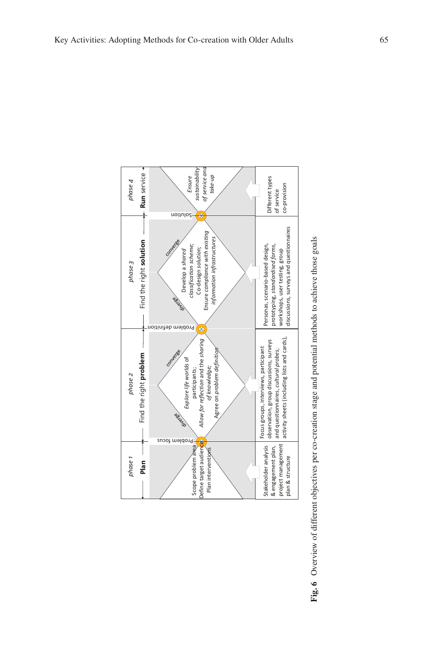<span id="page-12-0"></span>

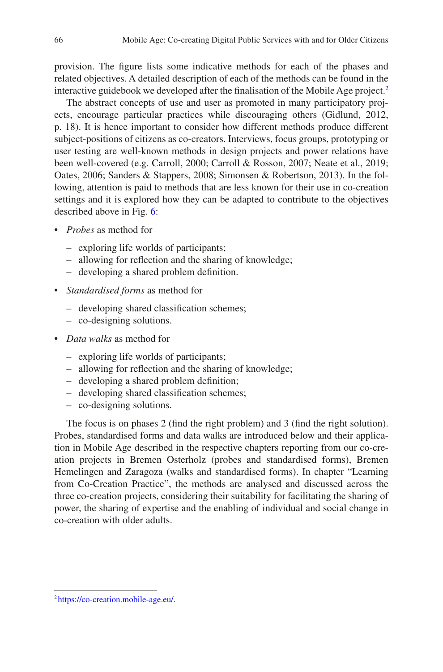provision. The figure lists some indicative methods for each of the phases and related objectives. A detailed description of each of the methods can be found in the interactive guidebook we developed after the finalisation of the Mobile Age project.<sup>[2](#page-13-0)</sup>

The abstract concepts of use and user as promoted in many participatory projects, encourage particular practices while discouraging others (Gidlund, 2012, p. 18). It is hence important to consider how different methods produce different subject-positions of citizens as co-creators. Interviews, focus groups, prototyping or user testing are well-known methods in design projects and power relations have been well-covered (e.g. Carroll, 2000; Carroll & Rosson, 2007; Neate et al., 2019; Oates, 2006; Sanders & Stappers, 2008; Simonsen & Robertson, 2013). In the following, attention is paid to methods that are less known for their use in co-creation settings and it is explored how they can be adapted to contribute to the objectives described above in Fig. [6](#page-12-0):

- *Probes* as method for
	- exploring life worlds of participants;
	- allowing for reflection and the sharing of knowledge;
	- developing a shared problem definition.
- *Standardised forms* as method for
	- developing shared classification schemes;
	- co-designing solutions.
- *Data walks* as method for
	- exploring life worlds of participants;
	- allowing for reflection and the sharing of knowledge;
	- developing a shared problem definition;
	- developing shared classification schemes;
	- co-designing solutions.

The focus is on phases 2 (find the right problem) and 3 (find the right solution). Probes, standardised forms and data walks are introduced below and their application in Mobile Age described in the respective chapters reporting from our co-creation projects in Bremen Osterholz (probes and standardised forms), Bremen Hemelingen and Zaragoza (walks and standardised forms). In chapter "Learning from Co-Creation Practice", the methods are analysed and discussed across the three co-creation projects, considering their suitability for facilitating the sharing of power, the sharing of expertise and the enabling of individual and social change in co-creation with older adults.

<span id="page-13-0"></span><sup>2</sup> <https://co-creation.mobile-age.eu/>.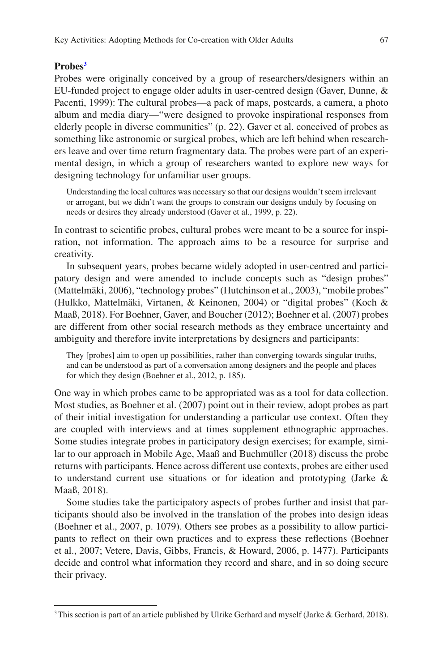#### **Probe[s3](#page-14-0)**

Probes were originally conceived by a group of researchers/designers within an EU-funded project to engage older adults in user-centred design (Gaver, Dunne, & Pacenti, 1999): The cultural probes—a pack of maps, postcards, a camera, a photo album and media diary—"were designed to provoke inspirational responses from elderly people in diverse communities" (p. 22). Gaver et al. conceived of probes as something like astronomic or surgical probes, which are left behind when researchers leave and over time return fragmentary data. The probes were part of an experimental design, in which a group of researchers wanted to explore new ways for designing technology for unfamiliar user groups.

Understanding the local cultures was necessary so that our designs wouldn't seem irrelevant or arrogant, but we didn't want the groups to constrain our designs unduly by focusing on needs or desires they already understood (Gaver et al., 1999, p. 22).

In contrast to scientific probes, cultural probes were meant to be a source for inspiration, not information. The approach aims to be a resource for surprise and creativity.

In subsequent years, probes became widely adopted in user-centred and participatory design and were amended to include concepts such as "design probes" (Mattelmäki, 2006), "technology probes" (Hutchinson et al., 2003), "mobile probes" (Hulkko, Mattelmäki, Virtanen, & Keinonen, 2004) or "digital probes" (Koch & Maaß, 2018). For Boehner, Gaver, and Boucher (2012); Boehner et al. (2007) probes are different from other social research methods as they embrace uncertainty and ambiguity and therefore invite interpretations by designers and participants:

They [probes] aim to open up possibilities, rather than converging towards singular truths, and can be understood as part of a conversation among designers and the people and places for which they design (Boehner et al., 2012, p. 185).

One way in which probes came to be appropriated was as a tool for data collection. Most studies, as Boehner et al. (2007) point out in their review, adopt probes as part of their initial investigation for understanding a particular use context. Often they are coupled with interviews and at times supplement ethnographic approaches. Some studies integrate probes in participatory design exercises; for example, similar to our approach in Mobile Age, Maaß and Buchmüller (2018) discuss the probe returns with participants. Hence across different use contexts, probes are either used to understand current use situations or for ideation and prototyping (Jarke & Maaß, 2018).

Some studies take the participatory aspects of probes further and insist that participants should also be involved in the translation of the probes into design ideas (Boehner et al., 2007, p. 1079). Others see probes as a possibility to allow participants to reflect on their own practices and to express these reflections (Boehner et al., 2007; Vetere, Davis, Gibbs, Francis, & Howard, 2006, p. 1477). Participants decide and control what information they record and share, and in so doing secure their privacy.

<span id="page-14-0"></span><sup>&</sup>lt;sup>3</sup>This section is part of an article published by Ulrike Gerhard and myself (Jarke & Gerhard, 2018).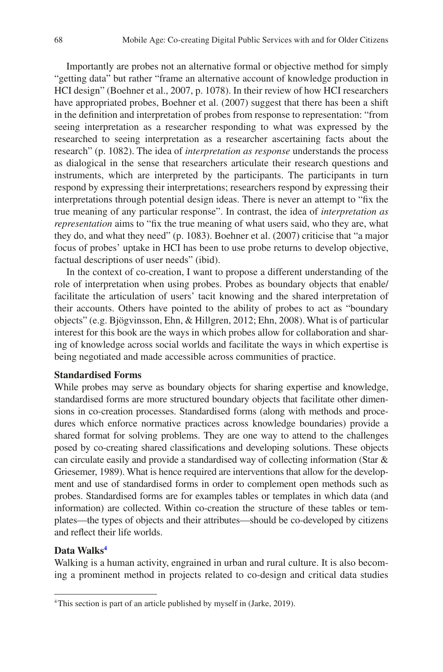Importantly are probes not an alternative formal or objective method for simply "getting data" but rather "frame an alternative account of knowledge production in HCI design" (Boehner et al., 2007, p. 1078). In their review of how HCI researchers have appropriated probes, Boehner et al. (2007) suggest that there has been a shift in the definition and interpretation of probes from response to representation: "from seeing interpretation as a researcher responding to what was expressed by the researched to seeing interpretation as a researcher ascertaining facts about the research" (p. 1082). The idea of *interpretation as response* understands the process as dialogical in the sense that researchers articulate their research questions and instruments, which are interpreted by the participants. The participants in turn respond by expressing their interpretations; researchers respond by expressing their interpretations through potential design ideas. There is never an attempt to "fix the true meaning of any particular response". In contrast, the idea of *interpretation as representation* aims to "fix the true meaning of what users said, who they are, what they do, and what they need" (p. 1083). Boehner et al. (2007) criticise that "a major focus of probes' uptake in HCI has been to use probe returns to develop objective, factual descriptions of user needs" (ibid).

In the context of co-creation, I want to propose a different understanding of the role of interpretation when using probes. Probes as boundary objects that enable/ facilitate the articulation of users' tacit knowing and the shared interpretation of their accounts. Others have pointed to the ability of probes to act as "boundary objects" (e.g. Bjögvinsson, Ehn, & Hillgren, 2012; Ehn, 2008). What is of particular interest for this book are the ways in which probes allow for collaboration and sharing of knowledge across social worlds and facilitate the ways in which expertise is being negotiated and made accessible across communities of practice.

#### **Standardised Forms**

While probes may serve as boundary objects for sharing expertise and knowledge, standardised forms are more structured boundary objects that facilitate other dimensions in co-creation processes. Standardised forms (along with methods and procedures which enforce normative practices across knowledge boundaries) provide a shared format for solving problems. They are one way to attend to the challenges posed by co-creating shared classifications and developing solutions. These objects can circulate easily and provide a standardised way of collecting information (Star & Griesemer, 1989). What is hence required are interventions that allow for the development and use of standardised forms in order to complement open methods such as probes. Standardised forms are for examples tables or templates in which data (and information) are collected. Within co-creation the structure of these tables or templates—the types of objects and their attributes—should be co-developed by citizens and reflect their life worlds.

#### **Data Walk[s4](#page-15-0)**

Walking is a human activity, engrained in urban and rural culture. It is also becoming a prominent method in projects related to co-design and critical data studies

<span id="page-15-0"></span><sup>4</sup>This section is part of an article published by myself in (Jarke, 2019).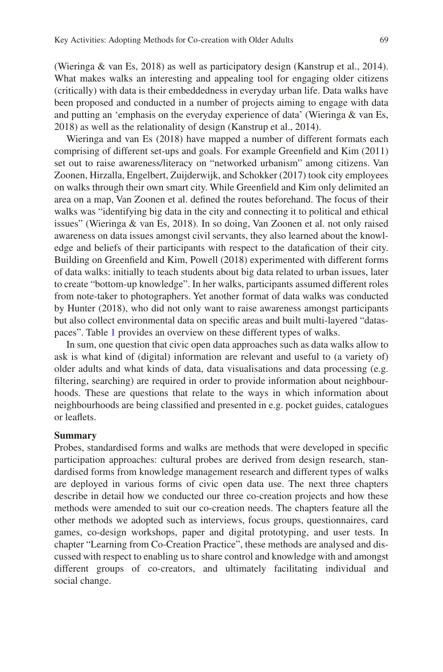(Wieringa & van Es, 2018) as well as participatory design (Kanstrup et al., 2014). What makes walks an interesting and appealing tool for engaging older citizens (critically) with data is their embeddedness in everyday urban life. Data walks have been proposed and conducted in a number of projects aiming to engage with data and putting an 'emphasis on the everyday experience of data' (Wieringa & van Es, 2018) as well as the relationality of design (Kanstrup et al., 2014).

Wieringa and van Es (2018) have mapped a number of different formats each comprising of different set-ups and goals. For example Greenfield and Kim (2011) set out to raise awareness/literacy on "networked urbanism" among citizens. Van Zoonen, Hirzalla, Engelbert, Zuijderwijk, and Schokker (2017) took city employees on walks through their own smart city. While Greenfield and Kim only delimited an area on a map, Van Zoonen et al. defined the routes beforehand. The focus of their walks was "identifying big data in the city and connecting it to political and ethical issues" (Wieringa & van Es, 2018). In so doing, Van Zoonen et al. not only raised awareness on data issues amongst civil servants, they also learned about the knowledge and beliefs of their participants with respect to the datafication of their city. Building on Greenfield and Kim, Powell (2018) experimented with different forms of data walks: initially to teach students about big data related to urban issues, later to create "bottom-up knowledge". In her walks, participants assumed different roles from note-taker to photographers. Yet another format of data walks was conducted by Hunter (2018), who did not only want to raise awareness amongst participants but also collect environmental data on specific areas and built multi-layered "dataspaces". Table [1](#page-17-0) provides an overview on these different types of walks.

In sum, one question that civic open data approaches such as data walks allow to ask is what kind of (digital) information are relevant and useful to (a variety of) older adults and what kinds of data, data visualisations and data processing (e.g. filtering, searching) are required in order to provide information about neighbourhoods. These are questions that relate to the ways in which information about neighbourhoods are being classified and presented in e.g. pocket guides, catalogues or leaflets.

#### **Summary**

Probes, standardised forms and walks are methods that were developed in specific participation approaches: cultural probes are derived from design research, standardised forms from knowledge management research and different types of walks are deployed in various forms of civic open data use. The next three chapters describe in detail how we conducted our three co-creation projects and how these methods were amended to suit our co-creation needs. The chapters feature all the other methods we adopted such as interviews, focus groups, questionnaires, card games, co-design workshops, paper and digital prototyping, and user tests. In chapter "Learning from Co-Creation Practice", these methods are analysed and discussed with respect to enabling us to share control and knowledge with and amongst different groups of co-creators, and ultimately facilitating individual and social change.